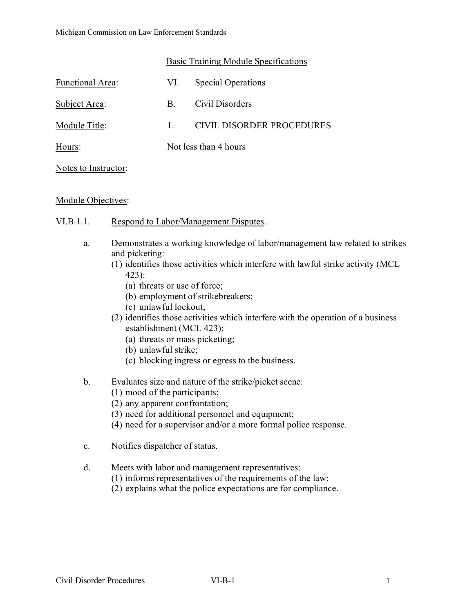|                         | Basic Training Module Specifications |                           |
|-------------------------|--------------------------------------|---------------------------|
| <b>Functional Area:</b> | VI.                                  | <b>Special Operations</b> |

Subject Area: B. Civil Disorders Module Title: 1. CIVIL DISORDER PROCEDURES Hours: Not less than 4 hours

## Notes to Instructor:

## Module Objectives:

- VI.B.1.1. Respond to Labor/Management Disputes.
	- a. Demonstrates a working knowledge of labor/management law related to strikes and picketing:
		- (1) identifies those activities which interfere with lawful strike activity (MCL 423):
			- (a) threats or use of force;
			- (b) employment of strikebreakers;
			- (c) unlawful lockout;
		- (2) identifies those activities which interfere with the operation of a business establishment (MCL 423):
			- (a) threats or mass picketing;
			- (b) unlawful strike;
			- (c) blocking ingress or egress to the business.
	- b. Evaluates size and nature of the strike/picket scene:
		- (1) mood of the participants;
		- (2) any apparent confrontation;
		- (3) need for additional personnel and equipment;
		- (4) need for a supervisor and/or a more formal police response.
	- c. Notifies dispatcher of status.
	- d. Meets with labor and management representatives:
		- (1) informs representatives of the requirements of the law;
		- (2) explains what the police expectations are for compliance.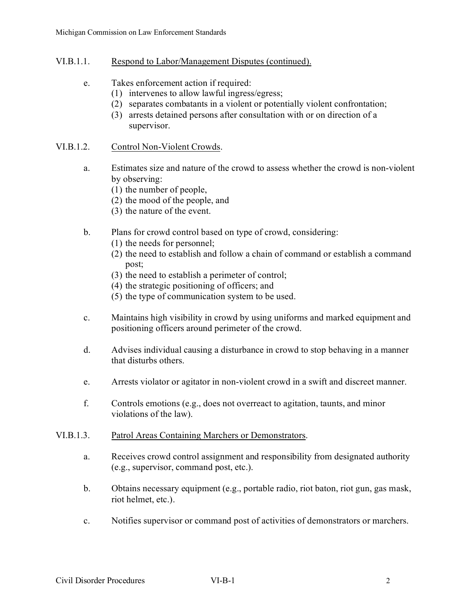# VI.B.1.1. Respond to Labor/Management Disputes (continued).

- e. Takes enforcement action if required:
	- (1) intervenes to allow lawful ingress/egress;
	- (2) separates combatants in a violent or potentially violent confrontation;
	- (3) arrests detained persons after consultation with or on direction of a supervisor.

# VI.B.1.2. Control Non-Violent Crowds.

- a. Estimates size and nature of the crowd to assess whether the crowd is non-violent by observing:
	- (1) the number of people,
	- (2) the mood of the people, and
	- (3) the nature of the event.
- b. Plans for crowd control based on type of crowd, considering:
	- (1) the needs for personnel;
	- (2) the need to establish and follow a chain of command or establish a command post;
	- (3) the need to establish a perimeter of control;
	- (4) the strategic positioning of officers; and
	- (5) the type of communication system to be used.
- c. Maintains high visibility in crowd by using uniforms and marked equipment and positioning officers around perimeter of the crowd.
- d. Advises individual causing a disturbance in crowd to stop behaving in a manner that disturbs others.
- e. Arrests violator or agitator in non-violent crowd in a swift and discreet manner.
- f. Controls emotions (e.g., does not overreact to agitation, taunts, and minor violations of the law).
- VI.B.1.3. Patrol Areas Containing Marchers or Demonstrators.
	- a. Receives crowd control assignment and responsibility from designated authority (e.g., supervisor, command post, etc.).
	- b. Obtains necessary equipment (e.g., portable radio, riot baton, riot gun, gas mask, riot helmet, etc.).
	- c. Notifies supervisor or command post of activities of demonstrators or marchers.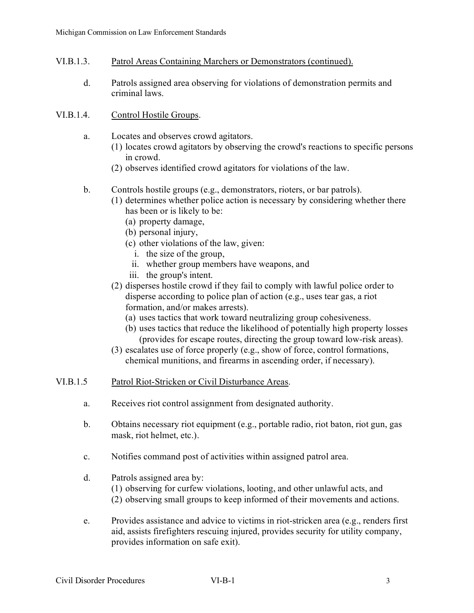- VI.B.1.3. Patrol Areas Containing Marchers or Demonstrators (continued).
	- d. Patrols assigned area observing for violations of demonstration permits and criminal laws.
- VI.B.1.4. Control Hostile Groups.
	- a. Locates and observes crowd agitators.
		- (1) locates crowd agitators by observing the crowd's reactions to specific persons in crowd.
		- (2) observes identified crowd agitators for violations of the law.
	- b. Controls hostile groups (e.g., demonstrators, rioters, or bar patrols).
		- (1) determines whether police action is necessary by considering whether there has been or is likely to be:
			- (a) property damage,
			- (b) personal injury,
			- (c) other violations of the law, given:
				- i. the size of the group,
				- ii. whether group members have weapons, and
			- iii. the group's intent.
		- (2) disperses hostile crowd if they fail to comply with lawful police order to disperse according to police plan of action (e.g., uses tear gas, a riot formation, and/or makes arrests).
			- (a) uses tactics that work toward neutralizing group cohesiveness.
			- (b) uses tactics that reduce the likelihood of potentially high property losses (provides for escape routes, directing the group toward low-risk areas).
		- (3) escalates use of force properly (e.g., show of force, control formations, chemical munitions, and firearms in ascending order, if necessary).
- VI.B.1.5 Patrol Riot-Stricken or Civil Disturbance Areas.
	- a. Receives riot control assignment from designated authority.
	- b. Obtains necessary riot equipment (e.g., portable radio, riot baton, riot gun, gas mask, riot helmet, etc.).
	- c. Notifies command post of activities within assigned patrol area.
	- d. Patrols assigned area by: (1) observing for curfew violations, looting, and other unlawful acts, and (2) observing small groups to keep informed of their movements and actions.
	- e. Provides assistance and advice to victims in riot-stricken area (e.g., renders first aid, assists firefighters rescuing injured, provides security for utility company, provides information on safe exit).